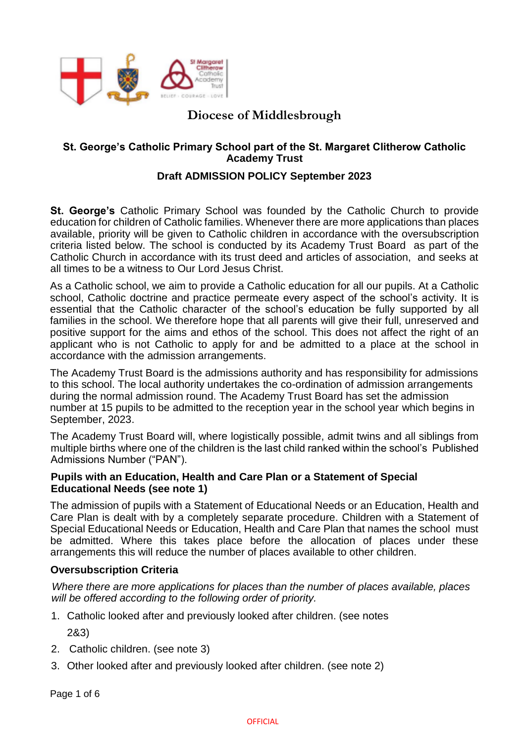

# **Diocese of Middlesbrough**

## **St. George's Catholic Primary School part of the St. Margaret Clitherow Catholic Academy Trust**

# **Draft ADMISSION POLICY September 2023**

**St. George's** Catholic Primary School was founded by the Catholic Church to provide education for children of Catholic families. Whenever there are more applications than places available, priority will be given to Catholic children in accordance with the oversubscription criteria listed below. The school is conducted by its Academy Trust Board as part of the Catholic Church in accordance with its trust deed and articles of association, and seeks at all times to be a witness to Our Lord Jesus Christ.

As a Catholic school, we aim to provide a Catholic education for all our pupils. At a Catholic school, Catholic doctrine and practice permeate every aspect of the school's activity. It is essential that the Catholic character of the school's education be fully supported by all families in the school. We therefore hope that all parents will give their full, unreserved and positive support for the aims and ethos of the school. This does not affect the right of an applicant who is not Catholic to apply for and be admitted to a place at the school in accordance with the admission arrangements.

The Academy Trust Board is the admissions authority and has responsibility for admissions to this school. The local authority undertakes the co-ordination of admission arrangements during the normal admission round. The Academy Trust Board has set the admission number at 15 pupils to be admitted to the reception year in the school year which begins in September, 2023.

The Academy Trust Board will, where logistically possible, admit twins and all siblings from multiple births where one of the children is the last child ranked within the school's Published Admissions Number ("PAN").

#### **Pupils with an Education, Health and Care Plan or a Statement of Special Educational Needs (see note 1)**

The admission of pupils with a Statement of Educational Needs or an Education, Health and Care Plan is dealt with by a completely separate procedure. Children with a Statement of Special Educational Needs or Education, Health and Care Plan that names the school must be admitted. Where this takes place before the allocation of places under these arrangements this will reduce the number of places available to other children.

## **Oversubscription Criteria**

*Where there are more applications for places than the number of places available, places will be offered according to the following order of priority.* 

1. Catholic looked after and previously looked after children. (see notes

2&3)

- 2. Catholic children. (see note 3)
- 3. Other looked after and previously looked after children. (see note 2)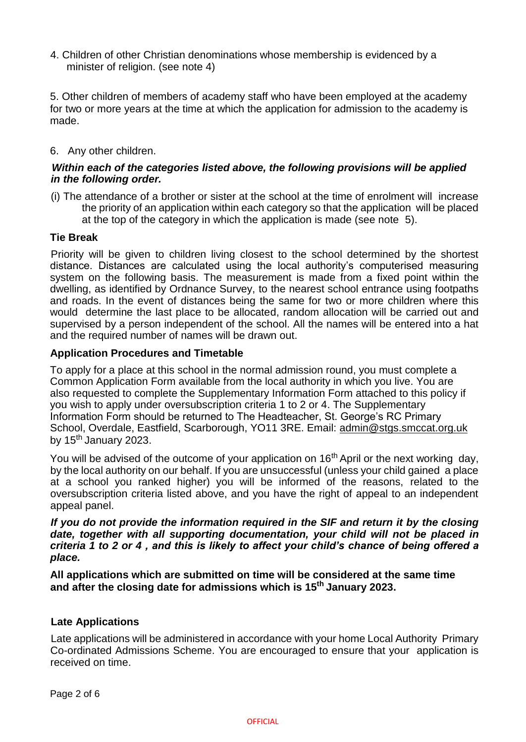4. Children of other Christian denominations whose membership is evidenced by a minister of religion. (see note 4)

5. Other children of members of academy staff who have been employed at the academy for two or more years at the time at which the application for admission to the academy is made.

## 6. Any other children.

## *Within each of the categories listed above, the following provisions will be applied in the following order.*

(i) The attendance of a brother or sister at the school at the time of enrolment will increase the priority of an application within each category so that the application will be placed at the top of the category in which the application is made (see note 5).

#### **Tie Break**

Priority will be given to children living closest to the school determined by the shortest distance. Distances are calculated using the local authority's computerised measuring system on the following basis. The measurement is made from a fixed point within the dwelling, as identified by Ordnance Survey, to the nearest school entrance using footpaths and roads. In the event of distances being the same for two or more children where this would determine the last place to be allocated, random allocation will be carried out and supervised by a person independent of the school. All the names will be entered into a hat and the required number of names will be drawn out.

#### **Application Procedures and Timetable**

To apply for a place at this school in the normal admission round, you must complete a Common Application Form available from the local authority in which you live. You are also requested to complete the Supplementary Information Form attached to this policy if you wish to apply under oversubscription criteria 1 to 2 or 4. The Supplementary Information Form should be returned to The Headteacher, St. George's RC Primary School, Overdale, Eastfield, Scarborough, YO11 3RE. Email: admin@stgs.smccat.org.uk by 15<sup>th</sup> January 2023.

You will be advised of the outcome of your application on  $16<sup>th</sup>$  April or the next working day, by the local authority on our behalf. If you are unsuccessful (unless your child gained a place at a school you ranked higher) you will be informed of the reasons, related to the oversubscription criteria listed above, and you have the right of appeal to an independent appeal panel.

*If you do not provide the information required in the SIF and return it by the closing*  date, together with all supporting documentation, your child will not be placed in *criteria 1 to 2 or 4 , and this is likely to affect your child's chance of being offered a place.* 

**All applications which are submitted on time will be considered at the same time and after the closing date for admissions which is 15th January 2023.** 

## **Late Applications**

Late applications will be administered in accordance with your home Local Authority Primary Co-ordinated Admissions Scheme. You are encouraged to ensure that your application is received on time.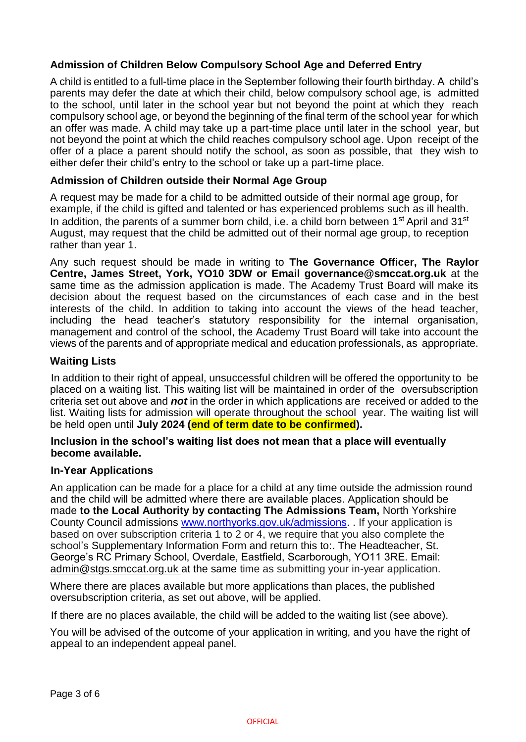# **Admission of Children Below Compulsory School Age and Deferred Entry**

A child is entitled to a full-time place in the September following their fourth birthday. A child's parents may defer the date at which their child, below compulsory school age, is admitted to the school, until later in the school year but not beyond the point at which they reach compulsory school age, or beyond the beginning of the final term of the school year for which an offer was made. A child may take up a part-time place until later in the school year, but not beyond the point at which the child reaches compulsory school age. Upon receipt of the offer of a place a parent should notify the school, as soon as possible, that they wish to either defer their child's entry to the school or take up a part-time place.

#### **Admission of Children outside their Normal Age Group**

A request may be made for a child to be admitted outside of their normal age group, for example, if the child is gifted and talented or has experienced problems such as ill health. In addition, the parents of a summer born child, i.e. a child born between 1<sup>st</sup> April and 31<sup>st</sup> August, may request that the child be admitted out of their normal age group, to reception rather than year 1.

Any such request should be made in writing to **The Governance Officer, The Raylor Centre, James Street, York, YO10 3DW or Email governance@smccat.org.uk** at the same time as the admission application is made. The Academy Trust Board will make its decision about the request based on the circumstances of each case and in the best interests of the child. In addition to taking into account the views of the head teacher, including the head teacher's statutory responsibility for the internal organisation, management and control of the school, the Academy Trust Board will take into account the views of the parents and of appropriate medical and education professionals, as appropriate.

#### **Waiting Lists**

In addition to their right of appeal, unsuccessful children will be offered the opportunity to be placed on a waiting list. This waiting list will be maintained in order of the oversubscription criteria set out above and *not* in the order in which applications are received or added to the list. Waiting lists for admission will operate throughout the school year. The waiting list will be held open until **July 2024 (end of term date to be confirmed).**

#### **Inclusion in the school's waiting list does not mean that a place will eventually become available.**

#### **In-Year Applications**

An application can be made for a place for a child at any time outside the admission round and the child will be admitted where there are available places. Application should be made **to the Local Authority by contacting The Admissions Team,** North Yorkshire County Council admissions www.northyorks.gov.uk/admissions. . If your application is based on over subscription criteria 1 to 2 or 4, we require that you also complete the school's Supplementary Information Form and return this to:. The Headteacher, St. George's RC Primary School, Overdale, Eastfield, Scarborough, YO11 3RE. Email: admin@stgs.smccat.org.uk at the same time as submitting your in-year application.

Where there are places available but more applications than places, the published oversubscription criteria, as set out above, will be applied.

If there are no places available, the child will be added to the waiting list (see above).

You will be advised of the outcome of your application in writing, and you have the right of appeal to an independent appeal panel.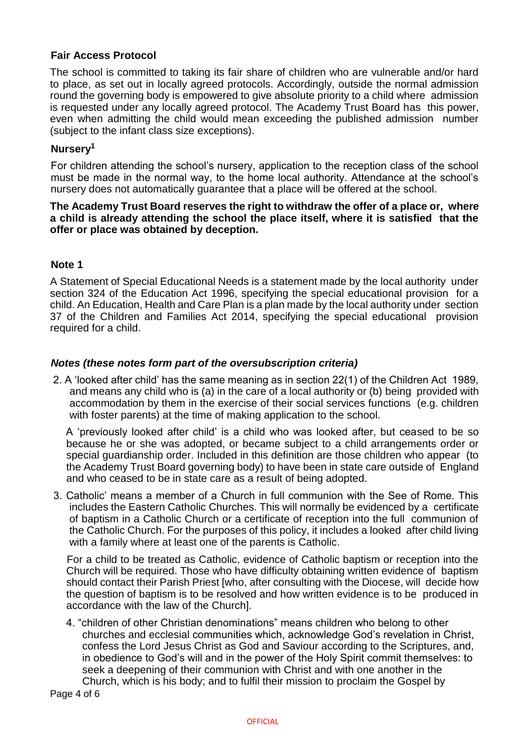## **Fair Access Protocol**

The school is committed to taking its fair share of children who are vulnerable and/or hard to place, as set out in locally agreed protocols. Accordingly, outside the normal admission round the governing body is empowered to give absolute priority to a child where admission is requested under any locally agreed protocol. The Academy Trust Board has this power, even when admitting the child would mean exceeding the published admission number (subject to the infant class size exceptions).

# **Nursery<sup>1</sup>**

For children attending the school's nursery, application to the reception class of the school must be made in the normal way, to the home local authority. Attendance at the school's nursery does not automatically guarantee that a place will be offered at the school.

#### **The Academy Trust Board reserves the right to withdraw the offer of a place or, where a child is already attending the school the place itself, where it is satisfied that the offer or place was obtained by deception.**

#### **Note 1**

A Statement of Special Educational Needs is a statement made by the local authority under section 324 of the Education Act 1996, specifying the special educational provision for a child. An Education, Health and Care Plan is a plan made by the local authority under section 37 of the Children and Families Act 2014, specifying the special educational provision required for a child.

## *Notes (these notes form part of the oversubscription criteria)*

2. A 'looked after child' has the same meaning as in section 22(1) of the Children Act 1989, and means any child who is (a) in the care of a local authority or (b) being provided with accommodation by them in the exercise of their social services functions (e.g. children with foster parents) at the time of making application to the school.

A 'previously looked after child' is a child who was looked after, but ceased to be so because he or she was adopted, or became subject to a child arrangements order or special guardianship order. Included in this definition are those children who appear (to the Academy Trust Board governing body) to have been in state care outside of England and who ceased to be in state care as a result of being adopted.

3. Catholic' means a member of a Church in full communion with the See of Rome. This includes the Eastern Catholic Churches. This will normally be evidenced by a certificate of baptism in a Catholic Church or a certificate of reception into the full communion of the Catholic Church. For the purposes of this policy, it includes a looked after child living with a family where at least one of the parents is Catholic.

For a child to be treated as Catholic, evidence of Catholic baptism or reception into the Church will be required. Those who have difficulty obtaining written evidence of baptism should contact their Parish Priest [who, after consulting with the Diocese, will decide how the question of baptism is to be resolved and how written evidence is to be produced in accordance with the law of the Church].

4. "children of other Christian denominations" means children who belong to other churches and ecclesial communities which, acknowledge God's revelation in Christ, confess the Lord Jesus Christ as God and Saviour according to the Scriptures, and, in obedience to God's will and in the power of the Holy Spirit commit themselves: to seek a deepening of their communion with Christ and with one another in the Church, which is his body; and to fulfil their mission to proclaim the Gospel by

Page 4 of 6